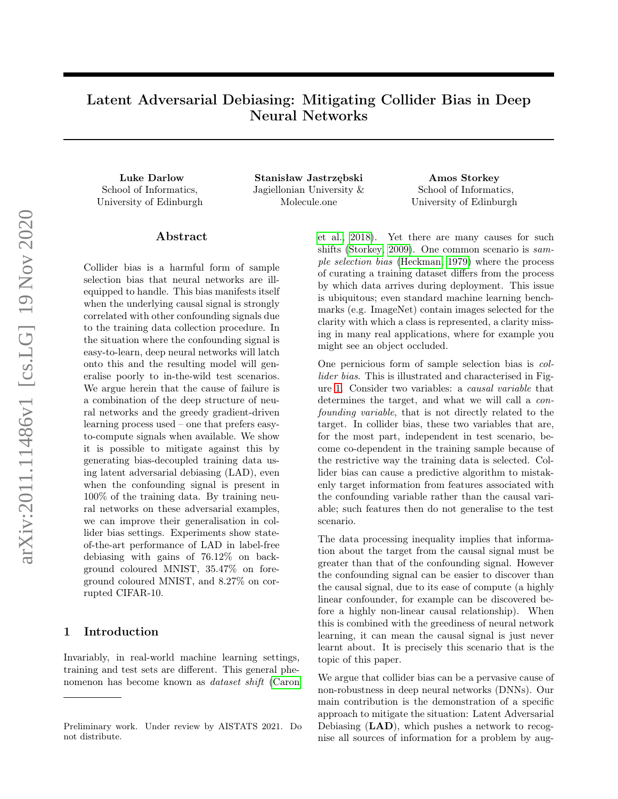# Latent Adversarial Debiasing: Mitigating Collider Bias in Deep Neural Networks

School of Informatics, University of Edinburgh

Luke Darlow Stanisław Jastrzębski Amos Storkey Jagiellonian University & Molecule.one

School of Informatics, University of Edinburgh

#### Abstract

Collider bias is a harmful form of sample selection bias that neural networks are illequipped to handle. This bias manifests itself when the underlying causal signal is strongly correlated with other confounding signals due to the training data collection procedure. In the situation where the confounding signal is easy-to-learn, deep neural networks will latch onto this and the resulting model will generalise poorly to in-the-wild test scenarios. We argue herein that the cause of failure is a combination of the deep structure of neural networks and the greedy gradient-driven learning process used – one that prefers easyto-compute signals when available. We show it is possible to mitigate against this by generating bias-decoupled training data using latent adversarial debiasing (LAD), even when the confounding signal is present in 100% of the training data. By training neural networks on these adversarial examples, we can improve their generalisation in collider bias settings. Experiments show stateof-the-art performance of LAD in label-free debiasing with gains of 76.12% on background coloured MNIST, 35.47% on foreground coloured MNIST, and 8.27% on corrupted CIFAR-10.

# 1 Introduction

Invariably, in real-world machine learning settings, training and test sets are different. This general phenomenon has become known as dataset shift [\(Caron](#page-7-0) [et al., 2018\)](#page-7-0). Yet there are many causes for such shifts [\(Storkey, 2009\)](#page-9-0). One common scenario is sample selection bias [\(Heckman, 1979\)](#page-8-0) where the process of curating a training dataset differs from the process by which data arrives during deployment. This issue is ubiquitous; even standard machine learning benchmarks (e.g. ImageNet) contain images selected for the clarity with which a class is represented, a clarity missing in many real applications, where for example you might see an object occluded.

One pernicious form of sample selection bias is collider bias. This is illustrated and characterised in Figure [1.](#page-1-0) Consider two variables: a causal variable that determines the target, and what we will call a *con*founding variable, that is not directly related to the target. In collider bias, these two variables that are, for the most part, independent in test scenario, become co-dependent in the training sample because of the restrictive way the training data is selected. Collider bias can cause a predictive algorithm to mistakenly target information from features associated with the confounding variable rather than the causal variable; such features then do not generalise to the test scenario.

The data processing inequality implies that information about the target from the causal signal must be greater than that of the confounding signal. However the confounding signal can be easier to discover than the causal signal, due to its ease of compute (a highly linear confounder, for example can be discovered before a highly non-linear causal relationship). When this is combined with the greediness of neural network learning, it can mean the causal signal is just never learnt about. It is precisely this scenario that is the topic of this paper.

We argue that collider bias can be a pervasive cause of non-robustness in deep neural networks (DNNs). Our main contribution is the demonstration of a specific approach to mitigate the situation: Latent Adversarial Debiasing (LAD), which pushes a network to recognise all sources of information for a problem by aug-

Preliminary work. Under review by AISTATS 2021. Do not distribute.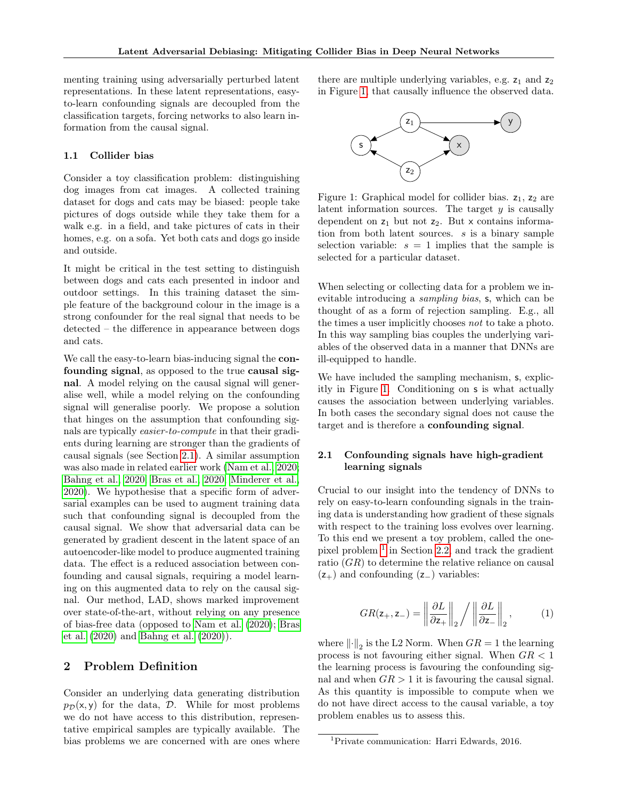menting training using adversarially perturbed latent representations. In these latent representations, easyto-learn confounding signals are decoupled from the classification targets, forcing networks to also learn information from the causal signal.

### 1.1 Collider bias

Consider a toy classification problem: distinguishing dog images from cat images. A collected training dataset for dogs and cats may be biased: people take pictures of dogs outside while they take them for a walk e.g. in a field, and take pictures of cats in their homes, e.g. on a sofa. Yet both cats and dogs go inside and outside.

It might be critical in the test setting to distinguish between dogs and cats each presented in indoor and outdoor settings. In this training dataset the simple feature of the background colour in the image is a strong confounder for the real signal that needs to be detected – the difference in appearance between dogs and cats.

We call the easy-to-learn bias-inducing signal the **con**founding signal, as opposed to the true causal signal. A model relying on the causal signal will generalise well, while a model relying on the confounding signal will generalise poorly. We propose a solution that hinges on the assumption that confounding signals are typically easier-to-compute in that their gradients during learning are stronger than the gradients of causal signals (see Section [2.1\)](#page-1-1). A similar assumption was also made in related earlier work [\(Nam et al., 2020;](#page-9-1) [Bahng et al., 2020;](#page-7-1) [Bras et al., 2020;](#page-7-2) [Minderer et al.,](#page-9-2) [2020\)](#page-9-2). We hypothesise that a specific form of adversarial examples can be used to augment training data such that confounding signal is decoupled from the causal signal. We show that adversarial data can be generated by gradient descent in the latent space of an autoencoder-like model to produce augmented training data. The effect is a reduced association between confounding and causal signals, requiring a model learning on this augmented data to rely on the causal signal. Our method, LAD, shows marked improvement over state-of-the-art, without relying on any presence of bias-free data (opposed to [Nam et al.](#page-9-1) [\(2020\)](#page-9-1); [Bras](#page-7-2) [et al.](#page-7-2) [\(2020\)](#page-7-2) and [Bahng et al.](#page-7-1) [\(2020\)](#page-7-1)).

# 2 Problem Definition

Consider an underlying data generating distribution  $p_{\mathcal{D}}(x, y)$  for the data,  $\mathcal{D}$ . While for most problems we do not have access to this distribution, representative empirical samples are typically available. The bias problems we are concerned with are ones where there are multiple underlying variables, e.g.  $z_1$  and  $z_2$ in Figure [1,](#page-1-0) that causally influence the observed data.

<span id="page-1-0"></span>

Figure 1: Graphical model for collider bias.  $z_1$ ,  $z_2$  are latent information sources. The target  $y$  is causally dependent on  $z_1$  but not  $z_2$ . But x contains information from both latent sources. s is a binary sample selection variable:  $s = 1$  implies that the sample is selected for a particular dataset.

When selecting or collecting data for a problem we inevitable introducing a sampling bias, s, which can be thought of as a form of rejection sampling. E.g., all the times a user implicitly chooses not to take a photo. In this way sampling bias couples the underlying variables of the observed data in a manner that DNNs are ill-equipped to handle.

We have included the sampling mechanism, s, explicitly in Figure [1.](#page-1-0) Conditioning on s is what actually causes the association between underlying variables. In both cases the secondary signal does not cause the target and is therefore a confounding signal.

## <span id="page-1-1"></span>2.1 Confounding signals have high-gradient learning signals

Crucial to our insight into the tendency of DNNs to rely on easy-to-learn confounding signals in the training data is understanding how gradient of these signals with respect to the training loss evolves over learning. To this end we present a toy problem, called the onepixel problem [1](#page-1-2) in Section [2.2,](#page-2-0) and track the gradient ratio (GR) to determine the relative reliance on causal  $(z_{+})$  and confounding  $(z_{-})$  variables:

<span id="page-1-3"></span>
$$
GR(\mathsf{z}_{+},\mathsf{z}_{-}) = \left\| \frac{\partial L}{\partial \mathsf{z}_{+}} \right\|_{2} / \left\| \frac{\partial L}{\partial \mathsf{z}_{-}} \right\|_{2},\tag{1}
$$

where  $\left\| \cdot \right\|_2$  is the L2 Norm. When  $GR = 1$  the learning process is not favouring either signal. When  $GR < 1$ the learning process is favouring the confounding signal and when  $GR > 1$  it is favouring the causal signal. As this quantity is impossible to compute when we do not have direct access to the causal variable, a toy problem enables us to assess this.

<span id="page-1-2"></span><sup>1</sup>Private communication: Harri Edwards, 2016.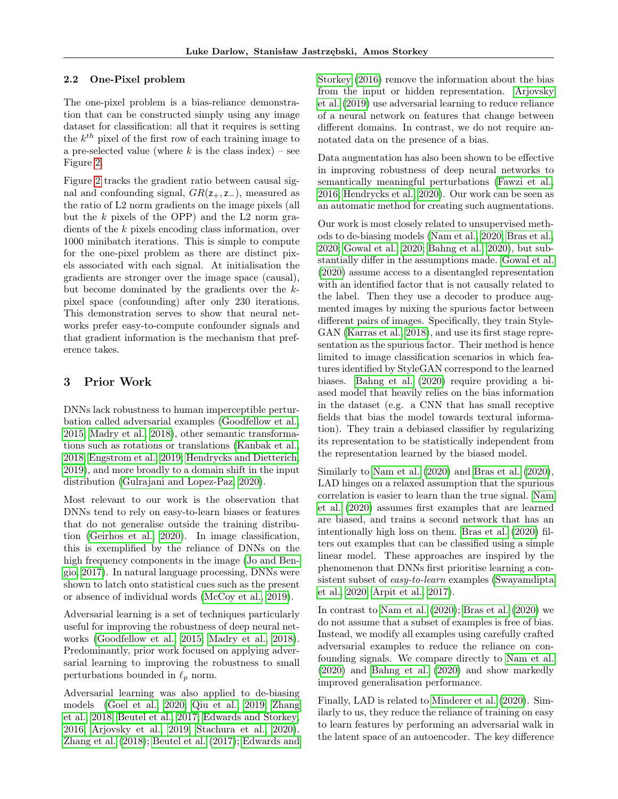#### <span id="page-2-0"></span>2.2 One-Pixel problem

The one-pixel problem is a bias-reliance demonstration that can be constructed simply using any image dataset for classification: all that it requires is setting the  $k^{th}$  pixel of the first row of each training image to a pre-selected value (where  $k$  is the class index) – see Figure [2.](#page-3-0)

Figure [2](#page-3-0) tracks the gradient ratio between causal signal and confounding signal,  $GR(z_{+}, z_{-})$ , measured as the ratio of L2 norm gradients on the image pixels (all but the  $k$  pixels of the OPP) and the L2 norm gradients of the k pixels encoding class information, over 1000 minibatch iterations. This is simple to compute for the one-pixel problem as there are distinct pixels associated with each signal. At initialisation the gradients are stronger over the image space (causal), but become dominated by the gradients over the kpixel space (confounding) after only 230 iterations. This demonstration serves to show that neural networks prefer easy-to-compute confounder signals and that gradient information is the mechanism that preference takes.

# 3 Prior Work

DNNs lack robustness to human imperceptible perturbation called adversarial examples [\(Goodfellow et al.,](#page-8-1) [2015;](#page-8-1) [Madry et al., 2018\)](#page-9-3), other semantic transformations such as rotations or translations [\(Kanbak et al.,](#page-8-2) [2018;](#page-8-2) [Engstrom et al., 2019;](#page-7-3) [Hendrycks and Dietterich,](#page-8-3) [2019\)](#page-8-3), and more broadly to a domain shift in the input distribution [\(Gulrajani and Lopez-Paz, 2020\)](#page-8-4).

Most relevant to our work is the observation that DNNs tend to rely on easy-to-learn biases or features that do not generalise outside the training distribution [\(Geirhos et al., 2020\)](#page-8-5). In image classification, this is exemplified by the reliance of DNNs on the high frequency components in the image [\(Jo and Ben](#page-8-6)[gio, 2017\)](#page-8-6). In natural language processing, DNNs were shown to latch onto statistical cues such as the present or absence of individual words [\(McCoy et al., 2019\)](#page-9-4).

Adversarial learning is a set of techniques particularly useful for improving the robustness of deep neural networks [\(Goodfellow et al., 2015;](#page-8-1) [Madry et al., 2018\)](#page-9-3). Predominantly, prior work focused on applying adversarial learning to improving the robustness to small perturbations bounded in  $\ell_p$  norm.

Adversarial learning was also applied to de-biasing models [\(Goel et al., 2020;](#page-8-7) [Qiu et al., 2019;](#page-9-5) [Zhang](#page-9-6) [et al., 2018;](#page-9-6) [Beutel et al., 2017;](#page-7-4) [Edwards and Storkey,](#page-7-5) [2016;](#page-7-5) [Arjovsky et al., 2019;](#page-7-6) [Stachura et al., 2020\)](#page-9-7). [Zhang et al.](#page-9-6) [\(2018\)](#page-9-6); [Beutel et al.](#page-7-4) [\(2017\)](#page-7-4); [Edwards and](#page-7-5)

[Storkey](#page-7-5) [\(2016\)](#page-7-5) remove the information about the bias from the input or hidden representation. [Arjovsky](#page-7-6) [et al.](#page-7-6) [\(2019\)](#page-7-6) use adversarial learning to reduce reliance of a neural network on features that change between different domains. In contrast, we do not require annotated data on the presence of a bias.

Data augmentation has also been shown to be effective in improving robustness of deep neural networks to semantically meaningful perturbations [\(Fawzi et al.,](#page-7-7) [2016;](#page-7-7) [Hendrycks et al., 2020\)](#page-8-8). Our work can be seen as an automatic method for creating such augmentations.

Our work is most closely related to unsupervised methods to de-biasing models [\(Nam et al., 2020;](#page-9-1) [Bras et al.,](#page-7-2) [2020;](#page-7-2) [Gowal et al., 2020;](#page-8-9) [Bahng et al., 2020\)](#page-7-1), but substantially differ in the assumptions made. [Gowal et al.](#page-8-9) [\(2020\)](#page-8-9) assume access to a disentangled representation with an identified factor that is not causally related to the label. Then they use a decoder to produce augmented images by mixing the spurious factor between different pairs of images. Specifically, they train Style-GAN [\(Karras et al., 2018\)](#page-9-8), and use its first stage representation as the spurious factor. Their method is hence limited to image classification scenarios in which features identified by StyleGAN correspond to the learned biases. [Bahng et al.](#page-7-1) [\(2020\)](#page-7-1) require providing a biased model that heavily relies on the bias information in the dataset (e.g. a CNN that has small receptive fields that bias the model towards textural information). They train a debiased classifier by regularizing its representation to be statistically independent from the representation learned by the biased model.

Similarly to [Nam et al.](#page-9-1) [\(2020\)](#page-9-1) and [Bras et al.](#page-7-2) [\(2020\)](#page-7-2), LAD hinges on a relaxed assumption that the spurious correlation is easier to learn than the true signal. [Nam](#page-9-1) [et al.](#page-9-1) [\(2020\)](#page-9-1) assumes first examples that are learned are biased, and trains a second network that has an intentionally high loss on them. [Bras et al.](#page-7-2) [\(2020\)](#page-7-2) filters out examples that can be classified using a simple linear model. These approaches are inspired by the phenomenon that DNNs first prioritise learning a consistent subset of easy-to-learn examples [\(Swayamdipta](#page-9-9) [et al., 2020;](#page-9-9) [Arpit et al., 2017\)](#page-7-8).

In contrast to [Nam et al.](#page-9-1) [\(2020\)](#page-9-1); [Bras et al.](#page-7-2) [\(2020\)](#page-7-2) we do not assume that a subset of examples is free of bias. Instead, we modify all examples using carefully crafted adversarial examples to reduce the reliance on confounding signals. We compare directly to [Nam et al.](#page-9-1) [\(2020\)](#page-9-1) and [Bahng et al.](#page-7-1) [\(2020\)](#page-7-1) and show markedly improved generalisation performance.

Finally, LAD is related to [Minderer et al.](#page-9-2) [\(2020\)](#page-9-2). Similarly to us, they reduce the reliance of training on easy to learn features by performing an adversarial walk in the latent space of an autoencoder. The key difference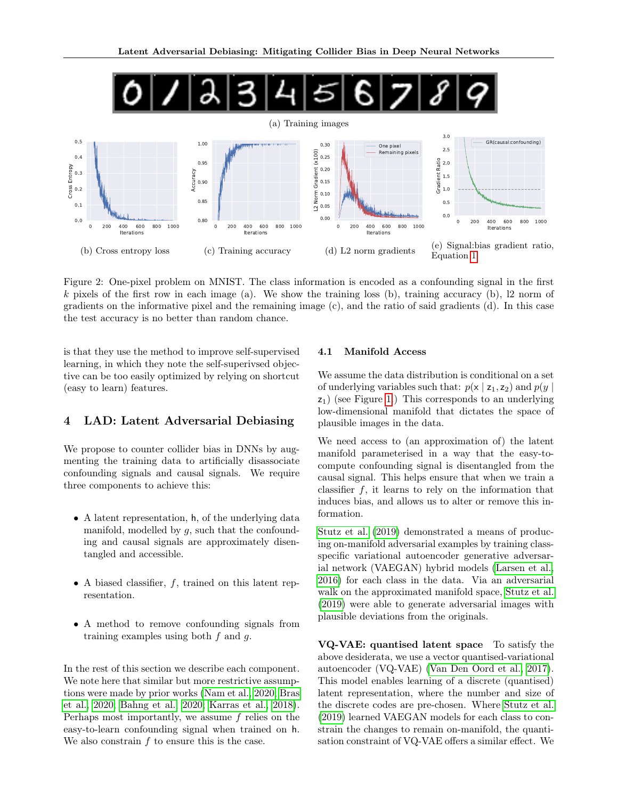<span id="page-3-0"></span>

Figure 2: One-pixel problem on MNIST. The class information is encoded as a confounding signal in the first k pixels of the first row in each image (a). We show the training loss (b), training accuracy (b), l2 norm of gradients on the informative pixel and the remaining image (c), and the ratio of said gradients (d). In this case the test accuracy is no better than random chance.

is that they use the method to improve self-supervised learning, in which they note the self-superivsed objective can be too easily optimized by relying on shortcut (easy to learn) features.

# 4 LAD: Latent Adversarial Debiasing

We propose to counter collider bias in DNNs by augmenting the training data to artificially disassociate confounding signals and causal signals. We require three components to achieve this:

- A latent representation, h, of the underlying data manifold, modelled by  $q$ , such that the confounding and causal signals are approximately disentangled and accessible.
- A biased classifier,  $f$ , trained on this latent representation.
- A method to remove confounding signals from training examples using both  $f$  and  $g$ .

In the rest of this section we describe each component. We note here that similar but more restrictive assumptions were made by prior works [\(Nam et al., 2020;](#page-9-1) [Bras](#page-7-2) [et al., 2020;](#page-7-2) [Bahng et al., 2020;](#page-7-1) [Karras et al., 2018\)](#page-9-8). Perhaps most importantly, we assume f relies on the easy-to-learn confounding signal when trained on h. We also constrain  $f$  to ensure this is the case.

#### 4.1 Manifold Access

We assume the data distribution is conditional on a set of underlying variables such that:  $p(x | z_1, z_2)$  and  $p(y | z_1, z_2)$ z1) (see Figure [1.](#page-1-0)) This corresponds to an underlying low-dimensional manifold that dictates the space of plausible images in the data.

We need access to (an approximation of) the latent manifold parameterised in a way that the easy-tocompute confounding signal is disentangled from the causal signal. This helps ensure that when we train a classifier  $f$ , it learns to rely on the information that induces bias, and allows us to alter or remove this information.

[Stutz et al.](#page-9-10) [\(2019\)](#page-9-10) demonstrated a means of producing on-manifold adversarial examples by training classspecific variational autoencoder generative adversarial network (VAEGAN) hybrid models [\(Larsen et al.,](#page-9-11) [2016\)](#page-9-11) for each class in the data. Via an adversarial walk on the approximated manifold space, [Stutz et al.](#page-9-10) [\(2019\)](#page-9-10) were able to generate adversarial images with plausible deviations from the originals.

VQ-VAE: quantised latent space To satisfy the above desiderata, we use a vector quantised-variational autoencoder (VQ-VAE) [\(Van Den Oord et al., 2017\)](#page-9-12). This model enables learning of a discrete (quantised) latent representation, where the number and size of the discrete codes are pre-chosen. Where [Stutz et al.](#page-9-10) [\(2019\)](#page-9-10) learned VAEGAN models for each class to constrain the changes to remain on-manifold, the quantisation constraint of VQ-VAE offers a similar effect. We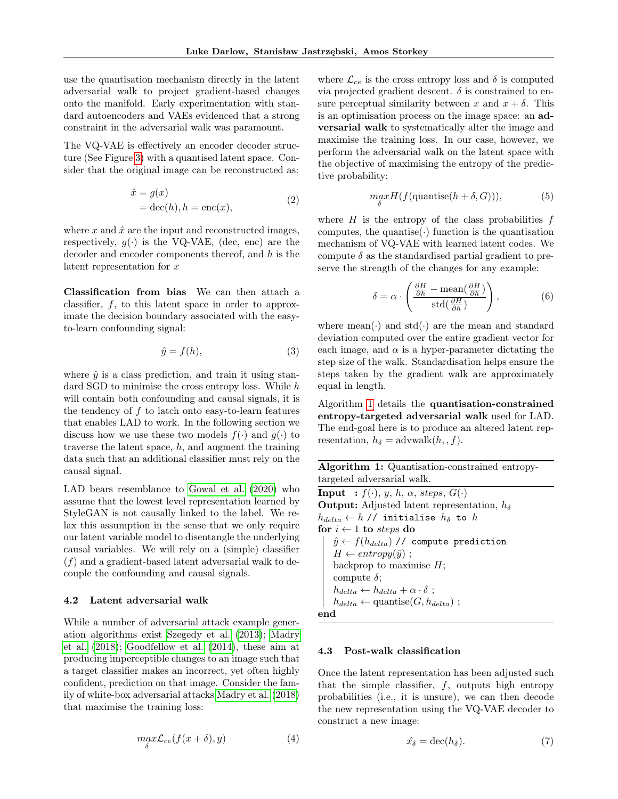use the quantisation mechanism directly in the latent adversarial walk to project gradient-based changes onto the manifold. Early experimentation with standard autoencoders and VAEs evidenced that a strong constraint in the adversarial walk was paramount.

The VQ-VAE is effectively an encoder decoder structure (See Figure [3\)](#page-5-0) with a quantised latent space. Consider that the original image can be reconstructed as:

$$
\begin{aligned} \hat{x} &= g(x) \\ &= \text{dec}(h), h = \text{enc}(x), \end{aligned} \tag{2}
$$

where  $x$  and  $\hat{x}$  are the input and reconstructed images, respectively,  $q(\cdot)$  is the VQ-VAE, (dec, enc) are the decoder and encoder components thereof, and  $h$  is the latent representation for x

Classification from bias We can then attach a classifier,  $f$ , to this latent space in order to approximate the decision boundary associated with the easyto-learn confounding signal:

$$
\hat{y} = f(h),\tag{3}
$$

where  $\hat{y}$  is a class prediction, and train it using standard SGD to minimise the cross entropy loss. While h will contain both confounding and causal signals, it is the tendency of  $f$  to latch onto easy-to-learn features that enables LAD to work. In the following section we discuss how we use these two models  $f(\cdot)$  and  $g(\cdot)$  to traverse the latent space,  $h$ , and augment the training data such that an additional classifier must rely on the causal signal.

LAD bears resemblance to [Gowal et al.](#page-8-9) [\(2020\)](#page-8-9) who assume that the lowest level representation learned by StyleGAN is not causally linked to the label. We relax this assumption in the sense that we only require our latent variable model to disentangle the underlying causal variables. We will rely on a (simple) classifier  $(f)$  and a gradient-based latent adversarial walk to decouple the confounding and causal signals.

#### 4.2 Latent adversarial walk

While a number of adversarial attack example generation algorithms exist [Szegedy et al.](#page-9-13) [\(2013\)](#page-9-13); [Madry](#page-9-3) [et al.](#page-9-3) [\(2018\)](#page-9-3); [Goodfellow et al.](#page-8-10) [\(2014\)](#page-8-10), these aim at producing imperceptible changes to an image such that a target classifier makes an incorrect, yet often highly confident, prediction on that image. Consider the family of white-box adversarial attacks [Madry et al.](#page-9-3) [\(2018\)](#page-9-3) that maximise the training loss:

$$
\max_{\delta} \mathcal{L}_{ce}(f(x+\delta), y) \tag{4}
$$

where  $\mathcal{L}_{ce}$  is the cross entropy loss and  $\delta$  is computed via projected gradient descent.  $\delta$  is constrained to ensure perceptual similarity between x and  $x + \delta$ . This is an optimisation process on the image space: an adversarial walk to systematically alter the image and maximise the training loss. In our case, however, we perform the adversarial walk on the latent space with the objective of maximising the entropy of the predictive probability:

$$
\max_{\delta} H(f(\text{quantise}(h+\delta, G))),\tag{5}
$$

where  $H$  is the entropy of the class probabilities  $f$ computes, the quantise( $\cdot$ ) function is the quantisation mechanism of VQ-VAE with learned latent codes. We compute  $\delta$  as the standardised partial gradient to preserve the strength of the changes for any example:

$$
\delta = \alpha \cdot \left( \frac{\frac{\partial H}{\partial h} - \text{mean}(\frac{\partial H}{\partial h})}{\text{std}(\frac{\partial H}{\partial h})} \right),\tag{6}
$$

where  $mean(\cdot)$  and  $std(\cdot)$  are the mean and standard deviation computed over the entire gradient vector for each image, and  $\alpha$  is a hyper-parameter dictating the step size of the walk. Standardisation helps ensure the steps taken by the gradient walk are approximately equal in length.

Algorithm [1](#page-4-0) details the quantisation-constrained entropy-targeted adversarial walk used for LAD. The end-goal here is to produce an altered latent representation,  $h_{\delta} = \text{advwalk}(h, f)$ .

| Algorithm 1: Quantisation-constrained entropy- |  |
|------------------------------------------------|--|
| targeted adversarial walk.                     |  |

**Input** :  $f(\cdot)$ ,  $y$ ,  $h$ ,  $\alpha$ , steps,  $G(\cdot)$ **Output:** Adjusted latent representation,  $h_{\delta}$  $h_{delta} \leftarrow h$  // initialise  $h_{\delta}$  to h for  $i \leftarrow 1$  to steps do  $\hat{y} \leftarrow f(h_{delta})$  // compute prediction  $H \leftarrow entropy(\hat{y})$ ; backprop to maximise  $H$ ; compute  $\delta$ ;  $h_{delta} \leftarrow h_{delta} + \alpha \cdot \delta$ ;  $h_{delta} \leftarrow$  quantise $(G, h_{delta})$ ; end

#### <span id="page-4-0"></span>4.3 Post-walk classification

Once the latent representation has been adjusted such that the simple classifier,  $f$ , outputs high entropy probabilities (i.e., it is unsure), we can then decode the new representation using the VQ-VAE decoder to construct a new image:

$$
\hat{x_{\delta}} = \operatorname{dec}(h_{\delta}).\tag{7}
$$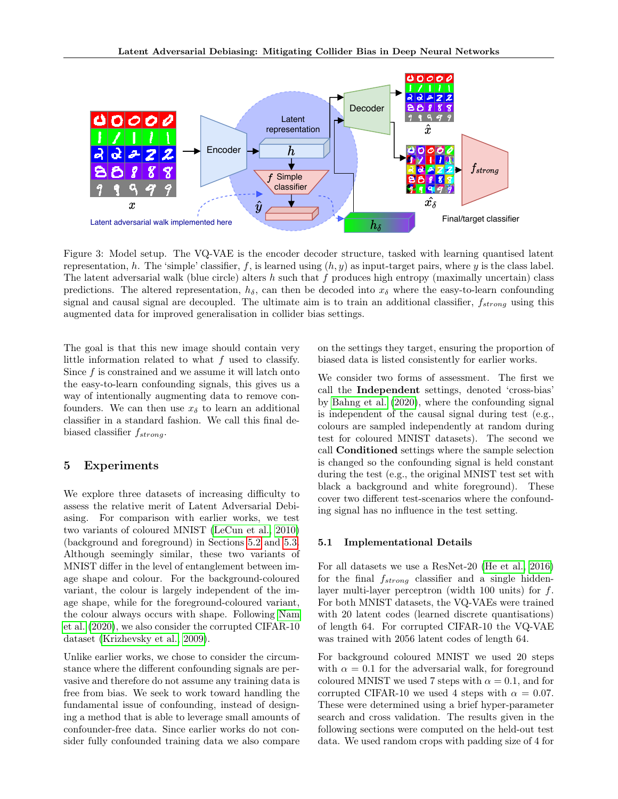<span id="page-5-0"></span>

Figure 3: Model setup. The VQ-VAE is the encoder decoder structure, tasked with learning quantised latent representation, h. The 'simple' classifier, f, is learned using  $(h, y)$  as input-target pairs, where y is the class label. The latent adversarial walk (blue circle) alters h such that f produces high entropy (maximally uncertain) class predictions. The altered representation,  $h_{\delta}$ , can then be decoded into  $x_{\delta}$  where the easy-to-learn confounding signal and causal signal are decoupled. The ultimate aim is to train an additional classifier,  $f_{strong}$  using this augmented data for improved generalisation in collider bias settings.

The goal is that this new image should contain very little information related to what  $f$  used to classify. Since  $f$  is constrained and we assume it will latch onto the easy-to-learn confounding signals, this gives us a way of intentionally augmenting data to remove confounders. We can then use  $x_{\delta}$  to learn an additional classifier in a standard fashion. We call this final debiased classifier  $f_{strong}$ .

# 5 Experiments

We explore three datasets of increasing difficulty to assess the relative merit of Latent Adversarial Debiasing. For comparison with earlier works, we test two variants of coloured MNIST [\(LeCun et al., 2010\)](#page-9-14) (background and foreground) in Sections [5.2](#page-6-0) and [5.3.](#page-6-1) Although seemingly similar, these two variants of MNIST differ in the level of entanglement between image shape and colour. For the background-coloured variant, the colour is largely independent of the image shape, while for the foreground-coloured variant, the colour always occurs with shape. Following [Nam](#page-9-1) [et al.](#page-9-1) [\(2020\)](#page-9-1), we also consider the corrupted CIFAR-10 dataset [\(Krizhevsky et al., 2009\)](#page-9-15).

Unlike earlier works, we chose to consider the circumstance where the different confounding signals are pervasive and therefore do not assume any training data is free from bias. We seek to work toward handling the fundamental issue of confounding, instead of designing a method that is able to leverage small amounts of confounder-free data. Since earlier works do not consider fully confounded training data we also compare on the settings they target, ensuring the proportion of biased data is listed consistently for earlier works.

We consider two forms of assessment. The first we call the Independent settings, denoted 'cross-bias' by [Bahng et al.](#page-7-1) [\(2020\)](#page-7-1), where the confounding signal is independent of the causal signal during test (e.g., colours are sampled independently at random during test for coloured MNIST datasets). The second we call Conditioned settings where the sample selection is changed so the confounding signal is held constant during the test (e.g., the original MNIST test set with black a background and white foreground). These cover two different test-scenarios where the confounding signal has no influence in the test setting.

#### 5.1 Implementational Details

For all datasets we use a ResNet-20 [\(He et al., 2016\)](#page-8-11) for the final  $f_{strong}$  classifier and a single hiddenlayer multi-layer perceptron (width 100 units) for f. For both MNIST datasets, the VQ-VAEs were trained with 20 latent codes (learned discrete quantisations) of length 64. For corrupted CIFAR-10 the VQ-VAE was trained with 2056 latent codes of length 64.

For background coloured MNIST we used 20 steps with  $\alpha = 0.1$  for the adversarial walk, for foreground coloured MNIST we used 7 steps with  $\alpha = 0.1$ , and for corrupted CIFAR-10 we used 4 steps with  $\alpha = 0.07$ . These were determined using a brief hyper-parameter search and cross validation. The results given in the following sections were computed on the held-out test data. We used random crops with padding size of 4 for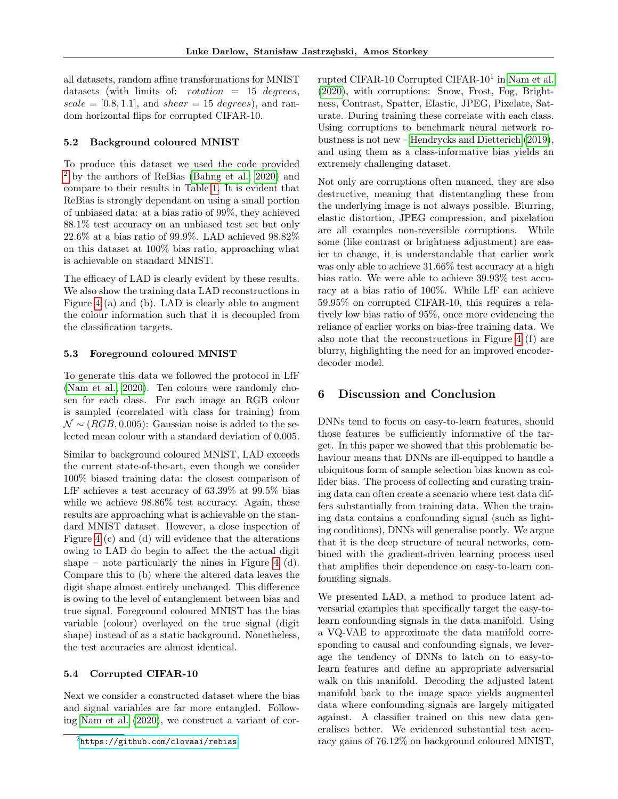all datasets, random affine transformations for MNIST datasets (with limits of: *rotation*  $= 15$  *degrees,*  $scale = [0.8, 1.1],$  and  $shear = 15 \ degrees$ , and random horizontal flips for corrupted CIFAR-10.

#### <span id="page-6-0"></span>5.2 Background coloured MNIST

To produce this dataset we used the code provided [2](#page-6-2) by the authors of ReBias [\(Bahng et al., 2020\)](#page-7-1) and compare to their results in Table [1.](#page-7-9) It is evident that ReBias is strongly dependant on using a small portion of unbiased data: at a bias ratio of 99%, they achieved 88.1% test accuracy on an unbiased test set but only 22.6% at a bias ratio of 99.9%. LAD achieved 98.82% on this dataset at 100% bias ratio, approaching what is achievable on standard MNIST.

The efficacy of LAD is clearly evident by these results. We also show the training data LAD reconstructions in Figure [4](#page-8-12) (a) and (b). LAD is clearly able to augment the colour information such that it is decoupled from the classification targets.

#### <span id="page-6-1"></span>5.3 Foreground coloured MNIST

To generate this data we followed the protocol in LfF [\(Nam et al., 2020\)](#page-9-1). Ten colours were randomly chosen for each class. For each image an RGB colour is sampled (correlated with class for training) from  $\mathcal{N} \sim (RGB, 0.005)$ : Gaussian noise is added to the selected mean colour with a standard deviation of 0.005.

Similar to background coloured MNIST, LAD exceeds the current state-of-the-art, even though we consider 100% biased training data: the closest comparison of LfF achieves a test accuracy of 63.39% at 99.5% bias while we achieve 98.86% test accuracy. Again, these results are approaching what is achievable on the standard MNIST dataset. However, a close inspection of Figure [4](#page-8-12) (c) and (d) will evidence that the alterations owing to LAD do begin to affect the the actual digit shape – note particularly the nines in Figure [4](#page-8-12) (d). Compare this to (b) where the altered data leaves the digit shape almost entirely unchanged. This difference is owing to the level of entanglement between bias and true signal. Foreground coloured MNIST has the bias variable (colour) overlayed on the true signal (digit shape) instead of as a static background. Nonetheless, the test accuracies are almost identical.

### 5.4 Corrupted CIFAR-10

Next we consider a constructed dataset where the bias and signal variables are far more entangled. Following [Nam et al.](#page-9-1) [\(2020\)](#page-9-1), we construct a variant of cor-

rupted CIFAR-10 Corrupted CIFAR-10<sup>1</sup> in [Nam et al.](#page-9-1) [\(2020\)](#page-9-1), with corruptions: Snow, Frost, Fog, Brightness, Contrast, Spatter, Elastic, JPEG, Pixelate, Saturate. During training these correlate with each class. Using corruptions to benchmark neural network robustness is not new – [Hendrycks and Dietterich](#page-8-3) [\(2019\)](#page-8-3), and using them as a class-informative bias yields an extremely challenging dataset.

Not only are corruptions often nuanced, they are also destructive, meaning that distentangling these from the underlying image is not always possible. Blurring, elastic distortion, JPEG compression, and pixelation are all examples non-reversible corruptions. While some (like contrast or brightness adjustment) are easier to change, it is understandable that earlier work was only able to achieve 31.66% test accuracy at a high bias ratio. We were able to achieve 39.93% test accuracy at a bias ratio of 100%. While LfF can achieve 59.95% on corrupted CIFAR-10, this requires a relatively low bias ratio of 95%, once more evidencing the reliance of earlier works on bias-free training data. We also note that the reconstructions in Figure [4](#page-8-12) (f) are blurry, highlighting the need for an improved encoderdecoder model.

# 6 Discussion and Conclusion

DNNs tend to focus on easy-to-learn features, should those features be sufficiently informative of the target. In this paper we showed that this problematic behaviour means that DNNs are ill-equipped to handle a ubiquitous form of sample selection bias known as collider bias. The process of collecting and curating training data can often create a scenario where test data differs substantially from training data. When the training data contains a confounding signal (such as lighting conditions), DNNs will generalise poorly. We argue that it is the deep structure of neural networks, combined with the gradient-driven learning process used that amplifies their dependence on easy-to-learn confounding signals.

We presented LAD, a method to produce latent adversarial examples that specifically target the easy-tolearn confounding signals in the data manifold. Using a VQ-VAE to approximate the data manifold corresponding to causal and confounding signals, we leverage the tendency of DNNs to latch on to easy-tolearn features and define an appropriate adversarial walk on this manifold. Decoding the adjusted latent manifold back to the image space yields augmented data where confounding signals are largely mitigated against. A classifier trained on this new data generalises better. We evidenced substantial test accuracy gains of 76.12% on background coloured MNIST,

<span id="page-6-2"></span> $^{2}$ <https://github.com/clovaai/rebias>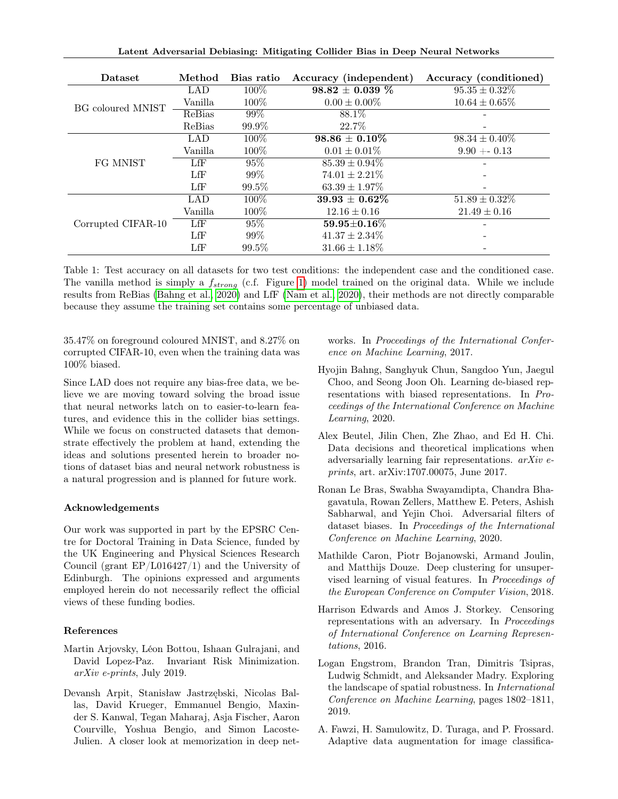| Latent Adversarial Debiasing: Mitigating Collider Bias in Deep Neural Networks |  |  |  |  |
|--------------------------------------------------------------------------------|--|--|--|--|
|                                                                                |  |  |  |  |

<span id="page-7-9"></span>

| Dataset            | Method        | Bias ratio | Accuracy (independent) | Accuracy (conditioned) |
|--------------------|---------------|------------|------------------------|------------------------|
| BG coloured MNIST  | LAD           | 100\%      | $98.82 \pm 0.039 \%$   | $95.35 \pm 0.32\%$     |
|                    | Vanilla       | 100\%      | $0.00 \pm 0.00\%$      | $10.64 \pm 0.65\%$     |
|                    | ReBias        | $99\%$     | 88.1\%                 |                        |
|                    | ReBias        | $99.9\%$   | 22.7\%                 |                        |
| FG MNIST           | LAD           | 100\%      | $98.86 \pm 0.10\%$     | $98.34 \pm 0.40\%$     |
|                    | Vanilla       | 100\%      | $0.01 \pm 0.01\%$      | $9.90 + 0.13$          |
|                    | LfF           | $95\%$     | $85.39 \pm 0.94\%$     |                        |
|                    | LfF           | $99\%$     | $74.01 \pm 2.21\%$     |                        |
|                    | LfF           | $99.5\%$   | $63.39 \pm 1.97\%$     |                        |
| Corrupted CIFAR-10 | LAD           | 100\%      | $39.93 \pm 0.62\%$     | $51.89 \pm 0.32\%$     |
|                    | Vanilla       | 100\%      | $12.16 \pm 0.16$       | $21.49 \pm 0.16$       |
|                    | LfF           | 95%        | $59.95 + 0.16\%$       |                        |
|                    | LfF           | $99\%$     | $41.37 \pm 2.34\%$     |                        |
|                    | $_{\rm{LfF}}$ | $99.5\%$   | $31.66 \pm 1.18\%$     |                        |

Table 1: Test accuracy on all datasets for two test conditions: the independent case and the conditioned case. The vanilla method is simply a  $f_{strong}$  (c.f. Figure [1\)](#page-1-0) model trained on the original data. While we include results from ReBias [\(Bahng et al., 2020\)](#page-7-1) and LfF [\(Nam et al., 2020\)](#page-9-1), their methods are not directly comparable because they assume the training set contains some percentage of unbiased data.

35.47% on foreground coloured MNIST, and 8.27% on corrupted CIFAR-10, even when the training data was 100% biased.

Since LAD does not require any bias-free data, we believe we are moving toward solving the broad issue that neural networks latch on to easier-to-learn features, and evidence this in the collider bias settings. While we focus on constructed datasets that demonstrate effectively the problem at hand, extending the ideas and solutions presented herein to broader notions of dataset bias and neural network robustness is a natural progression and is planned for future work.

### Acknowledgements

Our work was supported in part by the EPSRC Centre for Doctoral Training in Data Science, funded by the UK Engineering and Physical Sciences Research Council (grant EP/L016427/1) and the University of Edinburgh. The opinions expressed and arguments employed herein do not necessarily reflect the official views of these funding bodies.

### References

- <span id="page-7-6"></span>Martin Arjovsky, Léon Bottou, Ishaan Gulrajani, and David Lopez-Paz. Invariant Risk Minimization. arXiv e-prints, July 2019.
- <span id="page-7-8"></span>Devansh Arpit, Stanisław Jastrzębski, Nicolas Ballas, David Krueger, Emmanuel Bengio, Maxinder S. Kanwal, Tegan Maharaj, Asja Fischer, Aaron Courville, Yoshua Bengio, and Simon Lacoste-Julien. A closer look at memorization in deep net-

works. In Proceedings of the International Conference on Machine Learning, 2017.

- <span id="page-7-1"></span>Hyojin Bahng, Sanghyuk Chun, Sangdoo Yun, Jaegul Choo, and Seong Joon Oh. Learning de-biased representations with biased representations. In Proceedings of the International Conference on Machine Learning, 2020.
- <span id="page-7-4"></span>Alex Beutel, Jilin Chen, Zhe Zhao, and Ed H. Chi. Data decisions and theoretical implications when adversarially learning fair representations. arXiv eprints, art. arXiv:1707.00075, June 2017.
- <span id="page-7-2"></span>Ronan Le Bras, Swabha Swayamdipta, Chandra Bhagavatula, Rowan Zellers, Matthew E. Peters, Ashish Sabharwal, and Yejin Choi. Adversarial filters of dataset biases. In Proceedings of the International Conference on Machine Learning, 2020.
- <span id="page-7-0"></span>Mathilde Caron, Piotr Bojanowski, Armand Joulin, and Matthijs Douze. Deep clustering for unsupervised learning of visual features. In Proceedings of the European Conference on Computer Vision, 2018.
- <span id="page-7-5"></span>Harrison Edwards and Amos J. Storkey. Censoring representations with an adversary. In Proceedings of International Conference on Learning Representations, 2016.
- <span id="page-7-3"></span>Logan Engstrom, Brandon Tran, Dimitris Tsipras, Ludwig Schmidt, and Aleksander Madry. Exploring the landscape of spatial robustness. In International Conference on Machine Learning, pages 1802–1811, 2019.
- <span id="page-7-7"></span>A. Fawzi, H. Samulowitz, D. Turaga, and P. Frossard. Adaptive data augmentation for image classifica-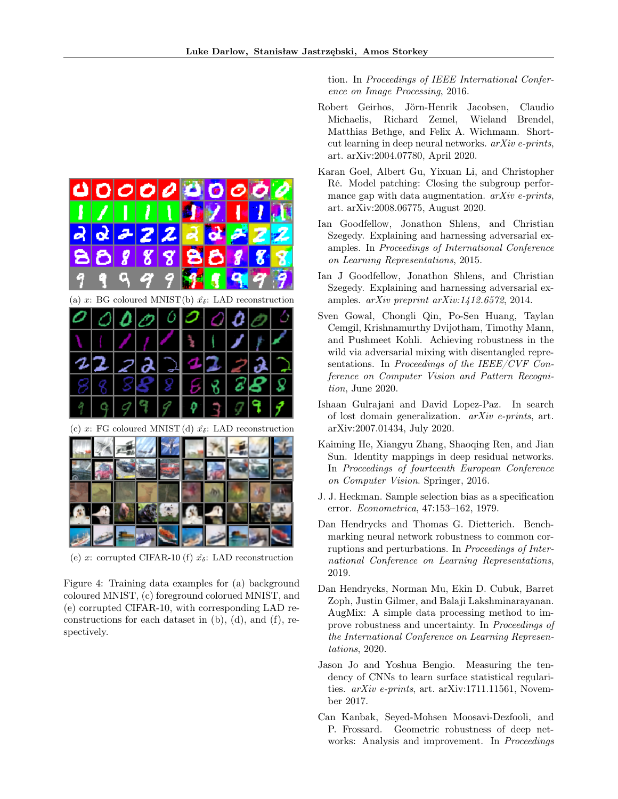<span id="page-8-12"></span>

(e) x: corrupted CIFAR-10 (f)  $\hat{x}_{\delta}$ : LAD reconstruction

Figure 4: Training data examples for (a) background coloured MNIST, (c) foreground colorued MNIST, and (e) corrupted CIFAR-10, with corresponding LAD reconstructions for each dataset in (b), (d), and (f), respectively.

tion. In Proceedings of IEEE International Conference on Image Processing, 2016.

- <span id="page-8-5"></span>Robert Geirhos, Jörn-Henrik Jacobsen, Claudio Michaelis, Richard Zemel, Wieland Brendel, Matthias Bethge, and Felix A. Wichmann. Shortcut learning in deep neural networks. arXiv e-prints, art. arXiv:2004.07780, April 2020.
- <span id="page-8-7"></span>Karan Goel, Albert Gu, Yixuan Li, and Christopher Ré. Model patching: Closing the subgroup performance gap with data augmentation.  $arXiv$  e-prints, art. arXiv:2008.06775, August 2020.
- <span id="page-8-1"></span>Ian Goodfellow, Jonathon Shlens, and Christian Szegedy. Explaining and harnessing adversarial examples. In Proceedings of International Conference on Learning Representations, 2015.
- <span id="page-8-10"></span>Ian J Goodfellow, Jonathon Shlens, and Christian Szegedy. Explaining and harnessing adversarial examples. arXiv preprint arXiv:1412.6572, 2014.
- <span id="page-8-9"></span>Sven Gowal, Chongli Qin, Po-Sen Huang, Taylan Cemgil, Krishnamurthy Dvijotham, Timothy Mann, and Pushmeet Kohli. Achieving robustness in the wild via adversarial mixing with disentangled representations. In Proceedings of the IEEE/CVF Conference on Computer Vision and Pattern Recognition, June 2020.
- <span id="page-8-4"></span>Ishaan Gulrajani and David Lopez-Paz. In search of lost domain generalization. arXiv e-prints, art. arXiv:2007.01434, July 2020.
- <span id="page-8-11"></span>Kaiming He, Xiangyu Zhang, Shaoqing Ren, and Jian Sun. Identity mappings in deep residual networks. In Proceedings of fourteenth European Conference on Computer Vision. Springer, 2016.
- <span id="page-8-0"></span>J. J. Heckman. Sample selection bias as a specification error. Econometrica, 47:153–162, 1979.
- <span id="page-8-3"></span>Dan Hendrycks and Thomas G. Dietterich. Benchmarking neural network robustness to common corruptions and perturbations. In Proceedings of International Conference on Learning Representations, 2019.
- <span id="page-8-8"></span>Dan Hendrycks, Norman Mu, Ekin D. Cubuk, Barret Zoph, Justin Gilmer, and Balaji Lakshminarayanan. AugMix: A simple data processing method to improve robustness and uncertainty. In Proceedings of the International Conference on Learning Representations, 2020.
- <span id="page-8-6"></span>Jason Jo and Yoshua Bengio. Measuring the tendency of CNNs to learn surface statistical regularities. arXiv e-prints, art. arXiv:1711.11561, November 2017.
- <span id="page-8-2"></span>Can Kanbak, Seyed-Mohsen Moosavi-Dezfooli, and P. Frossard. Geometric robustness of deep networks: Analysis and improvement. In Proceedings